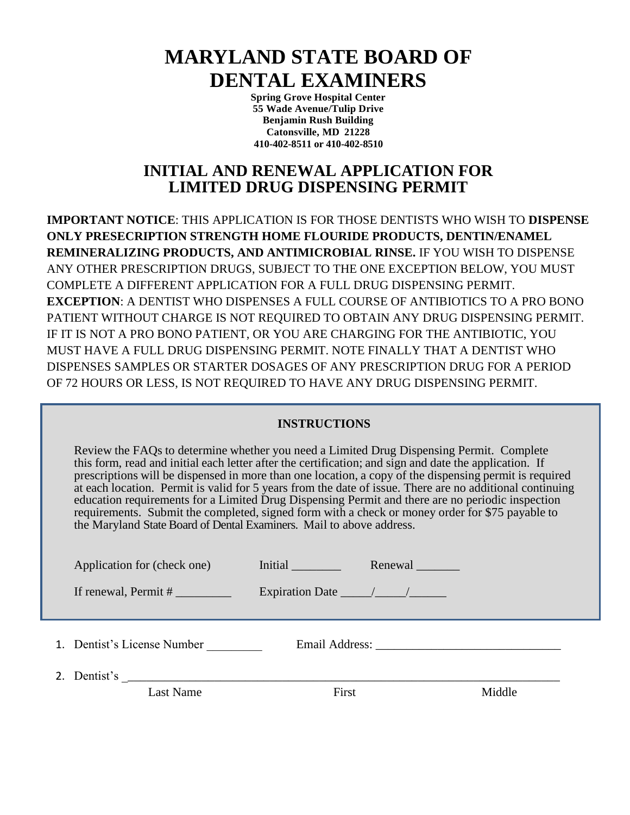# **MARYLAND STATE BOARD OF DENTAL EXAMINERS**

**Spring Grove Hospital Center 55 Wade Avenue/Tulip Drive Benjamin Rush Building Catonsville, MD 21228 410-402-8511 or 410-402-8510**

## **INITIAL AND RENEWAL APPLICATION FOR LIMITED DRUG DISPENSING PERMIT**

**IMPORTANT NOTICE**: THIS APPLICATION IS FOR THOSE DENTISTS WHO WISH TO **DISPENSE ONLY PRESECRIPTION STRENGTH HOME FLOURIDE PRODUCTS, DENTIN/ENAMEL REMINERALIZING PRODUCTS, AND ANTIMICROBIAL RINSE.** IF YOU WISH TO DISPENSE ANY OTHER PRESCRIPTION DRUGS, SUBJECT TO THE ONE EXCEPTION BELOW, YOU MUST COMPLETE A DIFFERENT APPLICATION FOR A FULL DRUG DISPENSING PERMIT. **EXCEPTION**: A DENTIST WHO DISPENSES A FULL COURSE OF ANTIBIOTICS TO A PRO BONO PATIENT WITHOUT CHARGE IS NOT REQUIRED TO OBTAIN ANY DRUG DISPENSING PERMIT. IF IT IS NOT A PRO BONO PATIENT, OR YOU ARE CHARGING FOR THE ANTIBIOTIC, YOU MUST HAVE A FULL DRUG DISPENSING PERMIT. NOTE FINALLY THAT A DENTIST WHO DISPENSES SAMPLES OR STARTER DOSAGES OF ANY PRESCRIPTION DRUG FOR A PERIOD OF 72 HOURS OR LESS, IS NOT REQUIRED TO HAVE ANY DRUG DISPENSING PERMIT.

#### **INSTRUCTIONS**

Review the FAQs to determine whether you need a Limited Drug Dispensing Permit. Complete this form, read and initial each letter after the certification; and sign and date the application. If prescriptions will be dispensed in more than one location, a copy of the dispensing permit is required at each location. Permit is valid for 5 years from the date of issue. There are no additional continuing education requirements for a Limited Drug Dispensing Permit and there are no periodic inspection requirements. Submit the completed, signed form with a check or money order for \$75 payable to the Maryland State Board of Dental Examiners. Mail to above address.

| Application for (check one) | Initial                              | Renewal _______ |        |  |
|-----------------------------|--------------------------------------|-----------------|--------|--|
| If renewal, $Permit #$      | Expiration Date $\frac{\sqrt{2}}{2}$ |                 |        |  |
|                             |                                      |                 |        |  |
| 1. Dentist's License Number |                                      |                 |        |  |
|                             |                                      |                 |        |  |
| Last Name                   | First                                |                 | Middle |  |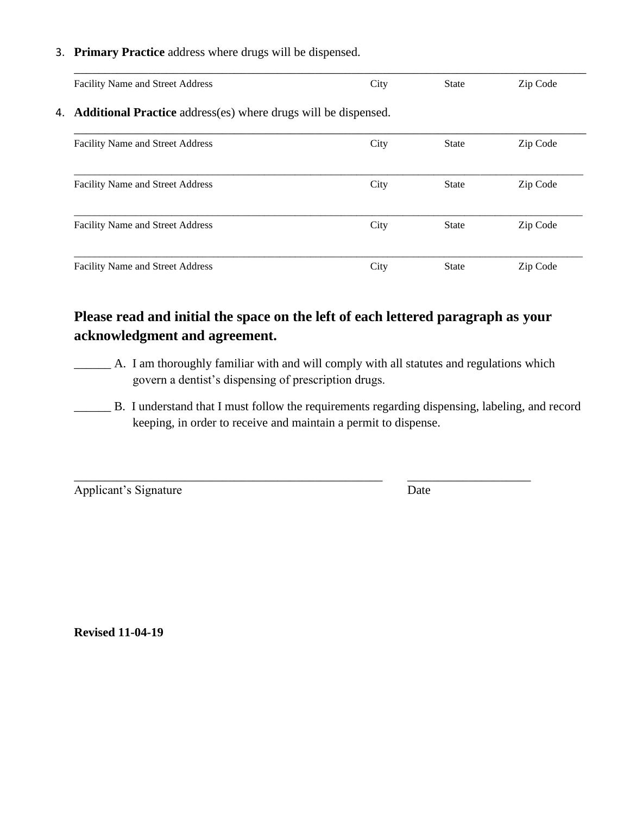#### 3. **Primary Practice** address where drugs will be dispensed.

| <b>Facility Name and Street Address</b>                                  | City | State        | Zip Code |  |  |  |
|--------------------------------------------------------------------------|------|--------------|----------|--|--|--|
| 4. <b>Additional Practice</b> address(es) where drugs will be dispensed. |      |              |          |  |  |  |
| Facility Name and Street Address                                         | City | <b>State</b> | Zip Code |  |  |  |
| <b>Facility Name and Street Address</b>                                  | City | State        | Zip Code |  |  |  |
| Facility Name and Street Address                                         | City | <b>State</b> | Zip Code |  |  |  |
| <b>Facility Name and Street Address</b>                                  | City | State        | Zip Code |  |  |  |

## **Please read and initial the space on the left of each lettered paragraph as your acknowledgment and agreement.**

\_\_\_\_\_\_\_\_\_\_\_\_\_\_\_\_\_\_\_\_\_\_\_\_\_\_\_\_\_\_\_\_\_\_\_\_\_\_\_\_\_\_\_\_\_\_\_\_\_\_ \_\_\_\_\_\_\_\_\_\_\_\_\_\_\_\_\_\_\_\_

- \_\_\_\_\_\_ A. I am thoroughly familiar with and will comply with all statutes and regulations which govern a dentist's dispensing of prescription drugs.
- \_\_\_\_\_\_ B. I understand that I must follow the requirements regarding dispensing, labeling, and record keeping, in order to receive and maintain a permit to dispense.

Applicant's Signature Date

**Revised 11-04-19**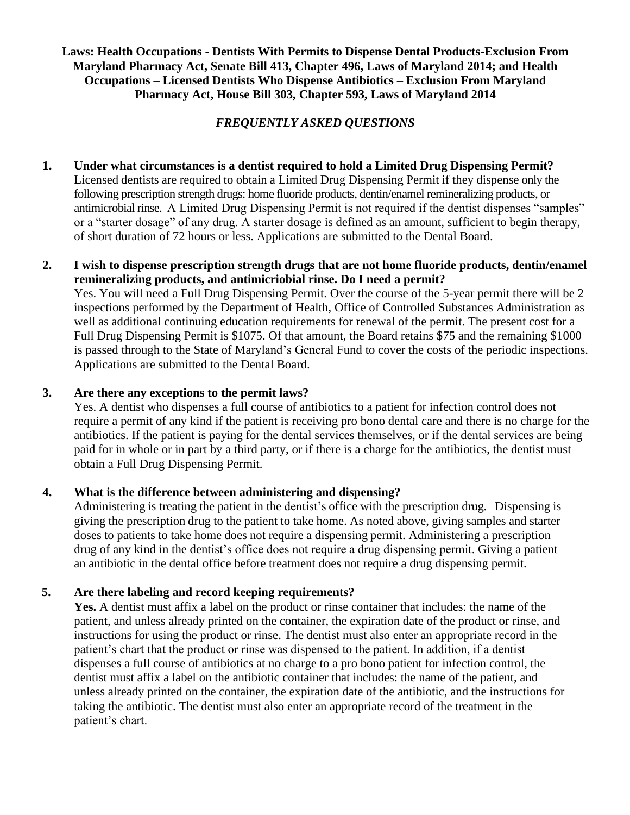#### **Laws: Health Occupations - Dentists With Permits to Dispense Dental Products-Exclusion From Maryland Pharmacy Act, Senate Bill 413, Chapter 496, Laws of Maryland 2014; and Health Occupations – Licensed Dentists Who Dispense Antibiotics – Exclusion From Maryland Pharmacy Act, House Bill 303, Chapter 593, Laws of Maryland 2014**

### *FREQUENTLY ASKED QUESTIONS*

**1. Under what circumstances is a dentist required to hold a Limited Drug Dispensing Permit?** Licensed dentists are required to obtain a Limited Drug Dispensing Permit if they dispense only the following prescription strength drugs: home fluoride products, dentin/enamel remineralizing products, or antimicrobial rinse. A Limited Drug Dispensing Permit is not required if the dentist dispenses "samples" or a "starter dosage" of any drug. A starter dosage is defined as an amount, sufficient to begin therapy, of short duration of 72 hours or less. Applications are submitted to the Dental Board.

#### **2. I wish to dispense prescription strength drugs that are not home fluoride products, dentin/enamel remineralizing products, and antimicriobial rinse. Do I need a permit?**

Yes. You will need a Full Drug Dispensing Permit. Over the course of the 5-year permit there will be 2 inspections performed by the Department of Health, Office of Controlled Substances Administration as well as additional continuing education requirements for renewal of the permit. The present cost for a Full Drug Dispensing Permit is \$1075. Of that amount, the Board retains \$75 and the remaining \$1000 is passed through to the State of Maryland's General Fund to cover the costs of the periodic inspections. Applications are submitted to the Dental Board.

#### **3. Are there any exceptions to the permit laws?**

Yes. A dentist who dispenses a full course of antibiotics to a patient for infection control does not require a permit of any kind if the patient is receiving pro bono dental care and there is no charge for the antibiotics. If the patient is paying for the dental services themselves, or if the dental services are being paid for in whole or in part by a third party, or if there is a charge for the antibiotics, the dentist must obtain a Full Drug Dispensing Permit.

#### **4. What is the difference between administering and dispensing?**

Administering is treating the patient in the dentist's office with the prescription drug. Dispensing is giving the prescription drug to the patient to take home. As noted above, giving samples and starter doses to patients to take home does not require a dispensing permit. Administering a prescription drug of any kind in the dentist's office does not require a drug dispensing permit. Giving a patient an antibiotic in the dental office before treatment does not require a drug dispensing permit.

#### **5. Are there labeling and record keeping requirements?**

**Yes.** A dentist must affix a label on the product or rinse container that includes: the name of the patient, and unless already printed on the container, the expiration date of the product or rinse, and instructions for using the product or rinse. The dentist must also enter an appropriate record in the patient's chart that the product or rinse was dispensed to the patient. In addition, if a dentist dispenses a full course of antibiotics at no charge to a pro bono patient for infection control, the dentist must affix a label on the antibiotic container that includes: the name of the patient, and unless already printed on the container, the expiration date of the antibiotic, and the instructions for taking the antibiotic. The dentist must also enter an appropriate record of the treatment in the patient's chart.